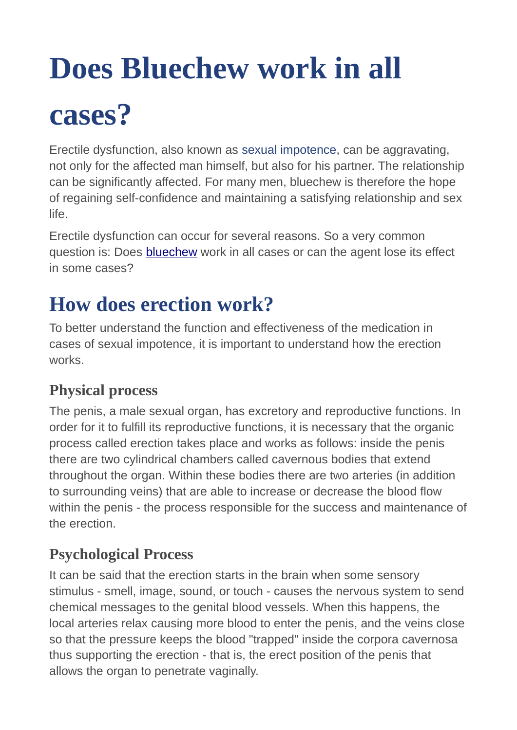# **Does Bluechew work in all**

## **cases?**

Erectile dysfunction, also known as sexual impotence, can be aggravating, not only for the affected man himself, but also for his partner. The relationship can be significantly affected. For many men, bluechew is therefore the hope of regaining self-confidence and maintaining a satisfying relationship and sex life.

Erectile dysfunction can occur for several reasons. So a very common question is: Does [bluechew](https://fliphtml5.com/rxgki/mejf) work in all cases or can the agent lose its effect in some cases?

## **How does erection work?**

To better understand the function and effectiveness of the medication in cases of sexual impotence, it is important to understand how the erection works.

#### **Physical process**

The penis, a male sexual organ, has excretory and reproductive functions. In order for it to fulfill its reproductive functions, it is necessary that the organic process called erection takes place and works as follows: inside the penis there are two cylindrical chambers called cavernous bodies that extend throughout the organ. Within these bodies there are two arteries (in addition to surrounding veins) that are able to increase or decrease the blood flow within the penis - the process responsible for the success and maintenance of the erection.

#### **Psychological Process**

It can be said that the erection starts in the brain when some sensory stimulus - smell, image, sound, or touch - causes the nervous system to send chemical messages to the genital blood vessels. When this happens, the local arteries relax causing more blood to enter the penis, and the veins close so that the pressure keeps the blood "trapped" inside the corpora cavernosa thus supporting the erection - that is, the erect position of the penis that allows the organ to penetrate vaginally.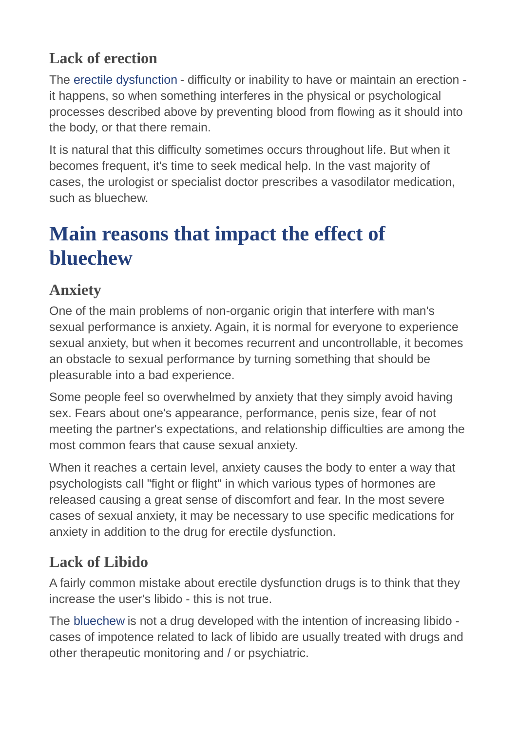### **Lack of erection**

The erectile dysfunction - difficulty or inability to have or maintain an erection it happens, so when something interferes in the physical or psychological processes described above by preventing blood from flowing as it should into the body, or that there remain.

It is natural that this difficulty sometimes occurs throughout life. But when it becomes frequent, it's time to seek medical help. In the vast majority of cases, the urologist or specialist doctor prescribes a vasodilator medication, such as bluechew.

## **Main reasons that impact the effect of bluechew**

## **Anxiety**

One of the main problems of non-organic origin that interfere with man's sexual performance is anxiety. Again, it is normal for everyone to experience sexual anxiety, but when it becomes recurrent and uncontrollable, it becomes an obstacle to sexual performance by turning something that should be pleasurable into a bad experience.

Some people feel so overwhelmed by anxiety that they simply avoid having sex. Fears about one's appearance, performance, penis size, fear of not meeting the partner's expectations, and relationship difficulties are among the most common fears that cause sexual anxiety.

When it reaches a certain level, anxiety causes the body to enter a way that psychologists call "fight or flight" in which various types of hormones are released causing a great sense of discomfort and fear. In the most severe cases of sexual anxiety, it may be necessary to use specific medications for anxiety in addition to the drug for erectile dysfunction.

## **Lack of Libido**

A fairly common mistake about erectile dysfunction drugs is to think that they increase the user's libido - this is not true.

The bluechew is not a drug developed with the intention of increasing libido cases of impotence related to lack of libido are usually treated with drugs and other therapeutic monitoring and / or psychiatric.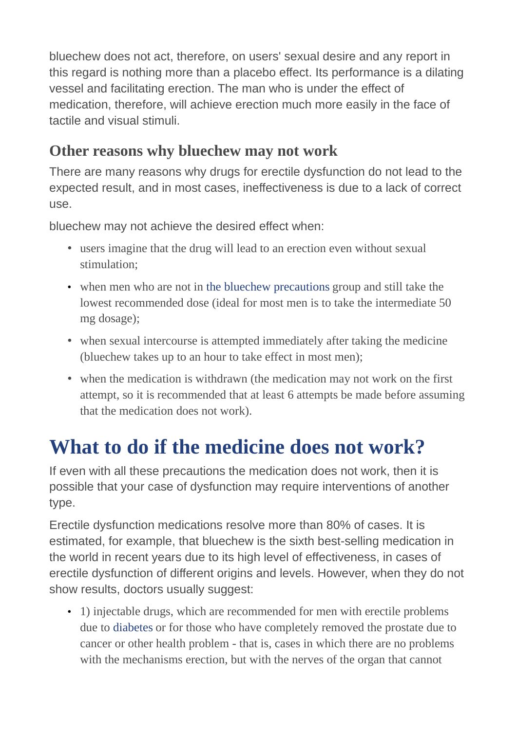bluechew does not act, therefore, on users' sexual desire and any report in this regard is nothing more than a placebo effect. Its performance is a dilating vessel and facilitating erection. The man who is under the effect of medication, therefore, will achieve erection much more easily in the face of tactile and visual stimuli.

#### **Other reasons why bluechew may not work**

There are many reasons why drugs for erectile dysfunction do not lead to the expected result, and in most cases, ineffectiveness is due to a lack of correct use.

bluechew may not achieve the desired effect when:

- users imagine that the drug will lead to an erection even without sexual stimulation;
- when men who are not in the bluechew precautions group and still take the lowest recommended dose (ideal for most men is to take the intermediate 50 mg dosage);
- when sexual intercourse is attempted immediately after taking the medicine (bluechew takes up to an hour to take effect in most men);
- when the medication is withdrawn (the medication may not work on the first attempt, so it is recommended that at least 6 attempts be made before assuming that the medication does not work).

## **What to do if the medicine does not work?**

If even with all these precautions the medication does not work, then it is possible that your case of dysfunction may require interventions of another type.

Erectile dysfunction medications resolve more than 80% of cases. It is estimated, for example, that bluechew is the sixth best-selling medication in the world in recent years due to its high level of effectiveness, in cases of erectile dysfunction of different origins and levels. However, when they do not show results, doctors usually suggest:

• 1) injectable drugs, which are recommended for men with erectile problems due to diabetes or for those who have completely removed the prostate due to cancer or other health problem - that is, cases in which there are no problems with the mechanisms erection, but with the nerves of the organ that cannot